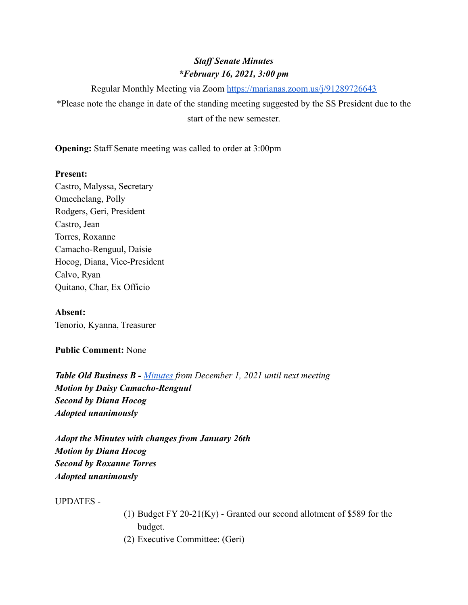# *Staff Senate Minutes \*February 16, 2021, 3:00 pm*

Regular Monthly Meeting via Zoom <https://marianas.zoom.us/j/91289726643>

\*Please note the change in date of the standing meeting suggested by the SS President due to the start of the new semester.

**Opening:** Staff Senate meeting was called to order at 3:00pm

## **Present:**

Castro, Malyssa, Secretary Omechelang, Polly Rodgers, Geri, President Castro, Jean Torres, Roxanne Camacho-Renguul, Daisie Hocog, Diana, Vice-President Calvo, Ryan Quitano, Char, Ex Officio

**Absent:** Tenorio, Kyanna, Treasurer

## **Public Comment:** None

*Table Old Business B - [Minutes](https://docs.google.com/document/d/1LRrHeI-U1zMRS7mwgUL0HkytVk15JZtIsST57cuW3mU/edit?usp=sharing) from December 1, 2021 until next meeting Motion by Daisy Camacho-Renguul Second by Diana Hocog Adopted unanimously*

*Adopt the Minutes with changes from January 26th Motion by Diana Hocog Second by Roxanne Torres Adopted unanimously*

UPDATES -

- (1) Budget FY 20-21(Ky) Granted our second allotment of \$589 for the budget.
- (2) Executive Committee: (Geri)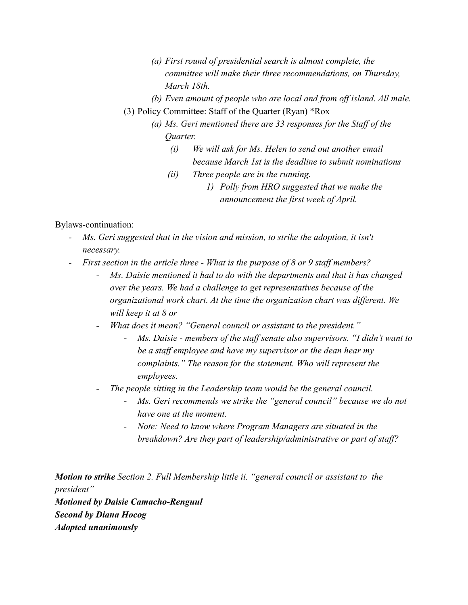- *(a) First round of presidential search is almost complete, the committee will make their three recommendations, on Thursday, March 18th.*
- *(b) Even amount of people who are local and from off island. All male.*
- (3) Policy Committee: Staff of the Quarter (Ryan) \*Rox
	- *(a) Ms. Geri mentioned there are 33 responses for the Staff of the Quarter.*
		- *(i) We will ask for Ms. Helen to send out another email because March 1st is the deadline to submit nominations*
		- *(ii) Three people are in the running.*
			- *1) Polly from HRO suggested that we make the announcement the first week of April.*

### Bylaws-continuation:

- *Ms. Geri suggested that in the vision and mission, to strike the adoption, it isn't necessary.*
- *- First section in the article three What is the purpose of 8 or 9 staff members?*
	- *Ms. Daisie mentioned it had to do with the departments and that it has changed over the years. We had a challenge to get representatives because of the organizational work chart. At the time the organization chart was different. We will keep it at 8 or*
	- *- What does it mean? "General council or assistant to the president."*
		- *- Ms. Daisie members of the staff senate also supervisors. "I didn't want to be a staff employee and have my supervisor or the dean hear my complaints." The reason for the statement. Who will represent the employees.*
	- *- The people sitting in the Leadership team would be the general council.*
		- *- Ms. Geri recommends we strike the "general council" because we do not have one at the moment.*
		- *- Note: Need to know where Program Managers are situated in the breakdown? Are they part of leadership/administrative or part of staff?*

*Motion to strike Section 2. Full Membership little ii. "general council or assistant to the president" Motioned by Daisie Camacho-Renguul Second by Diana Hocog Adopted unanimously*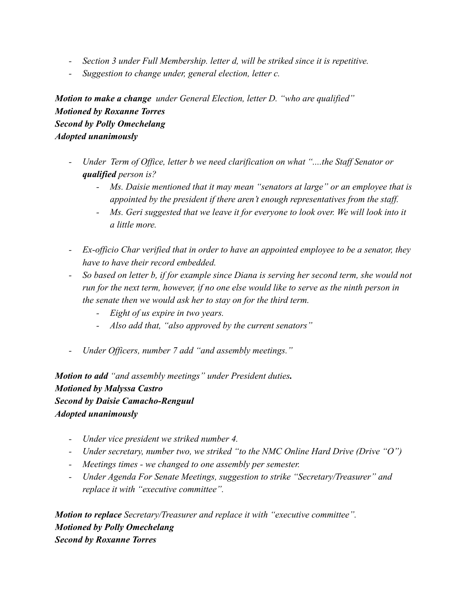- *- Section 3 under Full Membership. letter d, will be striked since it is repetitive.*
- *- Suggestion to change under, general election, letter c.*

*Motion to make a change under General Election, letter D. "who are qualified" Motioned by Roxanne Torres Second by Polly Omechelang Adopted unanimously*

- *- Under Term of Office, letter b we need clarification on what "....the Staff Senator or qualified person is?*
	- *- Ms. Daisie mentioned that it may mean "senators at large" or an employee that is appointed by the president if there aren't enough representatives from the staff.*
	- *- Ms. Geri suggested that we leave it for everyone to look over. We will look into it a little more.*
- *- Ex-officio Char verified that in order to have an appointed employee to be a senator, they have to have their record embedded.*
- *- So based on letter b, if for example since Diana is serving her second term, she would not run for the next term, however, if no one else would like to serve as the ninth person in the senate then we would ask her to stay on for the third term.*
	- *- Eight of us expire in two years.*
	- *- Also add that, "also approved by the current senators"*
- *- Under Officers, number 7 add "and assembly meetings."*

*Motion to add "and assembly meetings" under President duties. Motioned by Malyssa Castro Second by Daisie Camacho-Renguul Adopted unanimously*

- *- Under vice president we striked number 4.*
- *- Under secretary, number two, we striked "to the NMC Online Hard Drive (Drive "O")*
- *- Meetings times we changed to one assembly per semester.*
- *- Under Agenda For Senate Meetings, suggestion to strike "Secretary/Treasurer" and replace it with "executive committee".*

*Motion to replace Secretary/Treasurer and replace it with "executive committee". Motioned by Polly Omechelang Second by Roxanne Torres*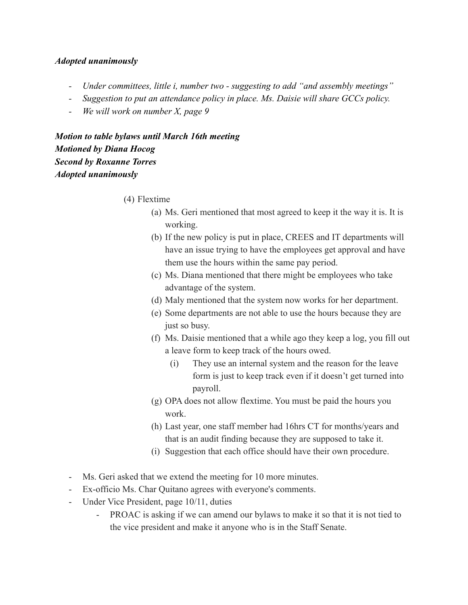#### *Adopted unanimously*

- *- Under committees, little i, number two suggesting to add "and assembly meetings"*
- *- Suggestion to put an attendance policy in place. Ms. Daisie will share GCCs policy.*
- *- We will work on number X, page 9*

*Motion to table bylaws until March 16th meeting Motioned by Diana Hocog Second by Roxanne Torres Adopted unanimously*

- (4) Flextime
	- (a) Ms. Geri mentioned that most agreed to keep it the way it is. It is working.
	- (b) If the new policy is put in place, CREES and IT departments will have an issue trying to have the employees get approval and have them use the hours within the same pay period.
	- (c) Ms. Diana mentioned that there might be employees who take advantage of the system.
	- (d) Maly mentioned that the system now works for her department.
	- (e) Some departments are not able to use the hours because they are just so busy.
	- (f) Ms. Daisie mentioned that a while ago they keep a log, you fill out a leave form to keep track of the hours owed.
		- (i) They use an internal system and the reason for the leave form is just to keep track even if it doesn't get turned into payroll.
	- (g) OPA does not allow flextime. You must be paid the hours you work.
	- (h) Last year, one staff member had 16hrs CT for months/years and that is an audit finding because they are supposed to take it.
	- (i) Suggestion that each office should have their own procedure.
- Ms. Geri asked that we extend the meeting for 10 more minutes.
- Ex-officio Ms. Char Quitano agrees with everyone's comments.
- Under Vice President, page 10/11, duties
	- PROAC is asking if we can amend our bylaws to make it so that it is not tied to the vice president and make it anyone who is in the Staff Senate.